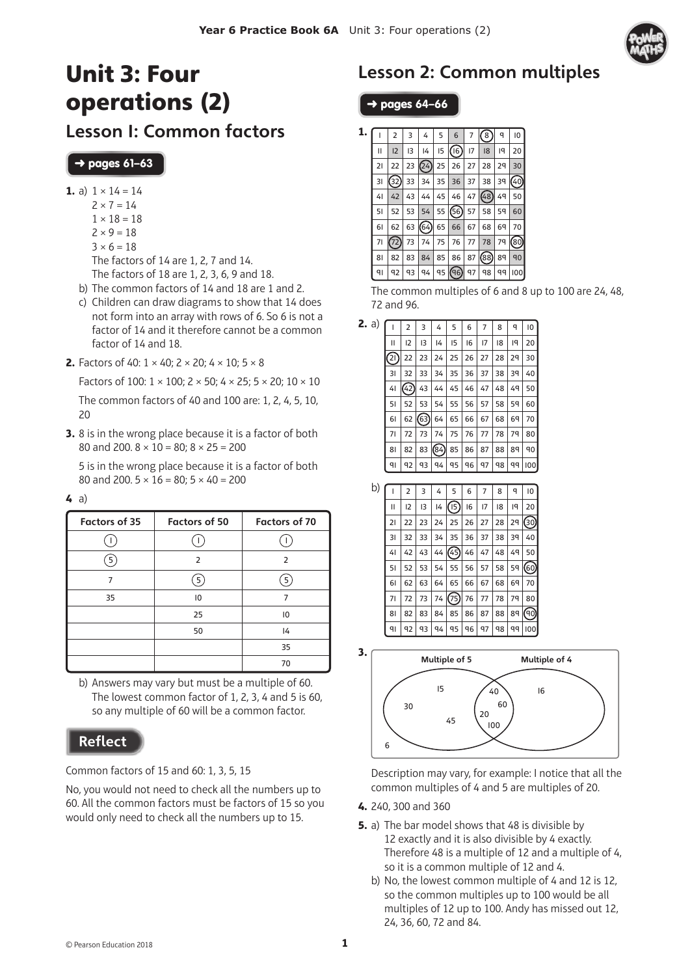

# Unit 3: Four operations (2)

Lesson 1: Common factors

#### ➜ pages **61–63**

- **1.** a)  $1 \times 14 = 14$ 
	- $7 \times 7 = 14$
	- $1 \times 18 = 18$
	- $2 \times 9 = 18$
	- $3 \times 6 = 18$
	- The factors of 14 are 1, 2, 7 and 14.
	- The factors of 18 are 1, 2, 3, 6, 9 and 18.
	- b) The common factors of 14 and 18 are 1 and 2.
	- c) Children can draw diagrams to show that 14 does not form into an array with rows of 6. So 6 is not a factor of 14 and it therefore cannot be a common factor of 14 and 18.
- **2.** Factors of 40:  $1 \times 40$ :  $2 \times 20$ :  $4 \times 10$ :  $5 \times 8$

Factors of 100:  $1 \times 100$ ;  $2 \times 50$ ;  $4 \times 25$ ;  $5 \times 20$ ;  $10 \times 10$ The common factors of 40 and 100 are: 1, 2, 4, 5, 10, 20

**3.** 8 is in the wrong place because it is a factor of both 80 and 200.  $8 \times 10 = 80$ ;  $8 \times 25 = 200$ 

5 is in the wrong place because it is a factor of both 80 and 200.  $5 \times 16 = 80$ ;  $5 \times 40 = 200$ 

|--|

| <b>Factors of 35</b> | <b>Factors of 50</b> | <b>Factors of 70</b> |
|----------------------|----------------------|----------------------|
|                      |                      |                      |
| 5                    | $\overline{2}$       | $\overline{2}$       |
| 7                    | 5                    | 5                    |
| 35                   | 10                   | 7                    |
|                      | 25                   | 10                   |
|                      | 50                   | 4                    |
|                      |                      | 35                   |
|                      |                      | 70                   |

b) Answers may vary but must be a multiple of 60. The lowest common factor of 1, 2, 3, 4 and 5 is 60, so any multiple of 60 will be a common factor.

### **Reflect**

Common factors of 15 and 60: 1, 3, 5, 15

No, you would not need to check all the numbers up to 60. All the common factors must be factors of 15 so you would only need to check all the numbers up to 15.

# Lesson 2: Common multiples

### ➜ pages **64–66**

| 1. |                | 2   | 3  | 4              | 5  | 6    | 7         | 8    | q  | 10   |
|----|----------------|-----|----|----------------|----|------|-----------|------|----|------|
|    | $\mathsf{II}$  | 12  | 13 | 4              | 15 | (16) | 17        | 18   | 19 | 20   |
|    | 21             | 22  | 23 | (24)           | 25 | 26   | 27        | 28   | 29 | 30   |
|    | 31             | 32) | 33 | 34             | 35 | 36   | 37        | 38   | 39 | (40) |
|    | 41             | 42  | 43 | 44             | 45 | 46   | 47        | (48) | 49 | 50   |
|    | 51             | 52  | 53 | 54             | 55 | (56) | 57        | 58   | 59 | 60   |
|    | 61             | 62  | 63 | (64)           | 65 | 66   | 67        | 68   | 69 | 70   |
|    | 71             | 72) | 73 | 74             | 75 | 76   | 77        | 78   | 79 | (80) |
|    | 81             | 82  | 83 | 84             | 85 | 86   | 87        | (88) | 89 | 90   |
|    | q <sub>l</sub> | 92  | 93 | q <sub>4</sub> | 95 | (၅)  | <b>q7</b> | 98   | qq | 100  |

The common multiples of 6 and 8 up to 100 are 24, 48, 72 and 96.

| <b>2.</b> a) |    | 2   | 3    | 4   | 5  | 6  | 7  | 8  | q  | 10  |
|--------------|----|-----|------|-----|----|----|----|----|----|-----|
|              | П  | 12  | 13   | 4   | 15 | 16 | 17 | 18 | 19 | 20  |
|              | ව) | 22  | 23   | 24  | 25 | 26 | 27 | 28 | 29 | 30  |
|              | 31 | 32  | 33   | 34  | 35 | 36 | 37 | 38 | 39 | 40  |
|              | 41 | 42) | 43   | 44  | 45 | 46 | 47 | 48 | 49 | 50  |
|              | 51 | 52  | 53   | 54  | 55 | 56 | 57 | 58 | 59 | 60  |
|              | 61 | 62  | (63) | 64  | 65 | 66 | 67 | 68 | 69 | 70  |
|              | 71 | 72  | 73   | 74  | 75 | 76 | 77 | 78 | 79 | 80  |
|              | 81 | 82  | 83   | 84) | 85 | 86 | 87 | 88 | 89 | 90  |
|              | ٩١ | 92  | q3   | ٩4  | 95 | 96 | 97 | 98 | qq | 100 |

| b) |                | 2  | 3  | 4  | 5    | 6  | 7  | 8  | q  | 10   |
|----|----------------|----|----|----|------|----|----|----|----|------|
|    | П              | 12 | 13 | 14 | (15) | 16 | 17 | 18 | ١q | 20   |
|    | 21             | 22 | 23 | 24 | 25   | 26 | 27 | 28 | 29 | (30) |
|    | 31             | 32 | 33 | 34 | 35   | 36 | 37 | 38 | 39 | 40   |
|    | 4 <sub>1</sub> | 42 | 43 | 44 | (45) | 46 | 47 | 48 | 49 | 50   |
|    | 51             | 52 | 53 | 54 | 55   | 56 | 57 | 58 | 59 | 60   |
|    | 61             | 62 | 63 | 64 | 65   | 66 | 67 | 68 | 69 | 70   |
|    | 71             | 72 | 73 | 74 | (75) | 76 | 77 | 78 | 79 | 80   |
|    | 81             | 82 | 83 | 84 | 85   | 86 | 87 | 88 | 89 | ଉ    |
|    | $q_1$          | 92 | 93 | 94 | 95   | 96 | 97 | 98 | qq | 100  |



Description may vary, for example: I notice that all the common multiples of 4 and 5 are multiples of 20.

- **4.** 240, 300 and 360
- **5.** a) The bar model shows that 48 is divisible by 12 exactly and it is also divisible by 4 exactly. Therefore 48 is a multiple of 12 and a multiple of 4, so it is a common multiple of 12 and 4.
	- b) No, the lowest common multiple of 4 and 12 is 12, so the common multiples up to 100 would be all multiples of 12 up to 100. Andy has missed out 12, 24, 36, 60, 72 and 84.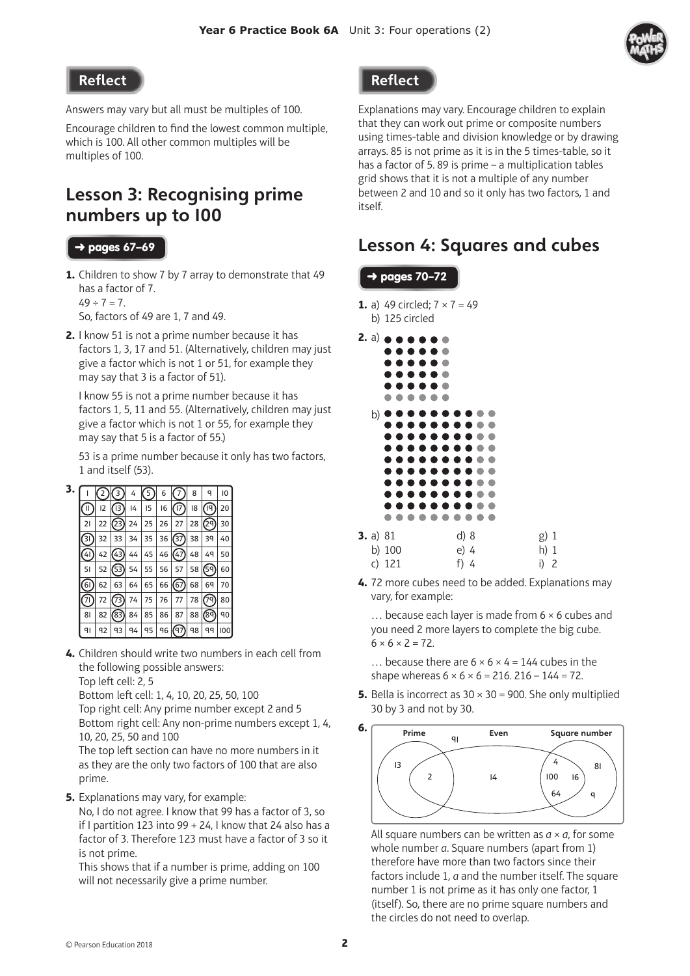

#### Reflect

Answers may vary but all must be multiples of 100.

Encourage children to find the lowest common multiple, which is 100. All other common multiples will be multiples of 100.

## Lesson 3: Recognising prime numbers up to 100

#### ➜ pages **67–69**

**1.** Children to show 7 by 7 array to demonstrate that 49 has a factor of 7.  $49 \div 7 = 7$ .

So, factors of 49 are 1, 7 and 49.

**2.** I know 51 is not a prime number because it has factors 1, 3, 17 and 51. (Alternatively, children may just give a factor which is not 1 or 51, for example they may say that 3 is a factor of 51).

I know 55 is not a prime number because it has factors 1, 5, 11 and 55. (Alternatively, children may just give a factor which is not 1 or 55, for example they may say that 5 is a factor of 55.)

53 is a prime number because it only has two factors, 1 and itself (53).

| 3. |               | 2  | 3                  | 4              | 5  | 6  |                   | 8  | q    | 10  |
|----|---------------|----|--------------------|----------------|----|----|-------------------|----|------|-----|
|    | Ш             | 12 | $\left  \right $   | 14             | 15 | 16 | 17                | 18 | ۱ď   | 20  |
|    | 21            | 22 | $\left( 23\right)$ | 24             | 25 | 26 | 27                | 28 | 29)  | 30  |
|    | 31            | 32 | 33                 | 34             | 35 | 36 | $\left[37\right]$ | 38 | 39   | 40  |
|    | 41            | 42 | $^{(43)}$          | 44             | 45 | 46 | (47)              | 48 | 49   | 50  |
|    | 51            | 52 | 53)                | 54             | 55 | 56 | 57                | 58 | 59)  | 60  |
|    | 61            | 62 | 63                 | 64             | 65 | 66 | (67)              | 68 | 69   | 70  |
|    | $\frac{1}{2}$ | 72 | 73)                | 74             | 75 | 76 | 77                | 78 | 79)  | 80  |
|    | 81            | 82 | (83)               | 84             | 85 | 86 | 87                | 88 | (89) | 90  |
|    | ٩ı            | 92 | q3                 | q <sub>4</sub> | 95 | 96 | (97)              | 98 | qq   | 100 |

**4.** Children should write two numbers in each cell from the following possible answers: Top left cell: 2, 5

Bottom left cell: 1, 4, 10, 20, 25, 50, 100

Top right cell: Any prime number except 2 and 5 Bottom right cell: Any non-prime numbers except 1, 4, 10, 20, 25, 50 and 100

The top left section can have no more numbers in it as they are the only two factors of 100 that are also prime.

**5.** Explanations may vary, for example:

No, I do not agree. I know that 99 has a factor of 3, so if I partition 123 into 99 + 24, I know that 24 also has a factor of 3. Therefore 123 must have a factor of 3 so it is not prime.

This shows that if a number is prime, adding on 100 will not necessarily give a prime number.



Explanations may vary. Encourage children to explain that they can work out prime or composite numbers using times-table and division knowledge or by drawing arrays. 85 is not prime as it is in the 5 times-table, so it has a factor of 5. 89 is prime – a multiplication tables grid shows that it is not a multiple of any number between 2 and 10 and so it only has two factors, 1 and itself.

## Lesson 4: Squares and cubes

|              | b) 125 circled                  | <b>1.</b> a) 49 circled; $7 \times 7 = 49$                                                                                               |                        |
|--------------|---------------------------------|------------------------------------------------------------------------------------------------------------------------------------------|------------------------|
|              | 2. a) <b>.</b><br>.<br>. .<br>. | .<br>. .                                                                                                                                 |                        |
| b) $\bullet$ | n                               | .<br>.<br>,,,<br>.<br>.<br>.<br>. .<br>. .<br>.<br>.<br>n<br>$\bullet$<br>.<br>m.<br>$\rightarrow$ $\rightarrow$<br>n<br>. .<br>.<br>. . |                        |
|              | 3. a) 81<br>b) 100<br>c) 121    | .<br>d)8<br>e) 4<br>f) 4                                                                                                                 | g) 1<br>h) 1<br>i) $2$ |

**4.** 72 more cubes need to be added. Explanations may vary, for example:

… because each layer is made from 6 × 6 cubes and you need 2 more layers to complete the big cube.  $6 \times 6 \times 2 = 72$ 

... because there are  $6 \times 6 \times 4 = 144$  cubes in the shape whereas  $6 \times 6 \times 6 = 216$ . 216 - 144 = 72.

**5.** Bella is incorrect as  $30 \times 30 = 900$ . She only multiplied 30 by 3 and not by 30.



All square numbers can be written as *a* × *a*, for some whole number *a*. Square numbers (apart from 1) therefore have more than two factors since their factors include 1, *a* and the number itself. The square number 1 is not prime as it has only one factor, 1 (itself). So, there are no prime square numbers and the circles do not need to overlap.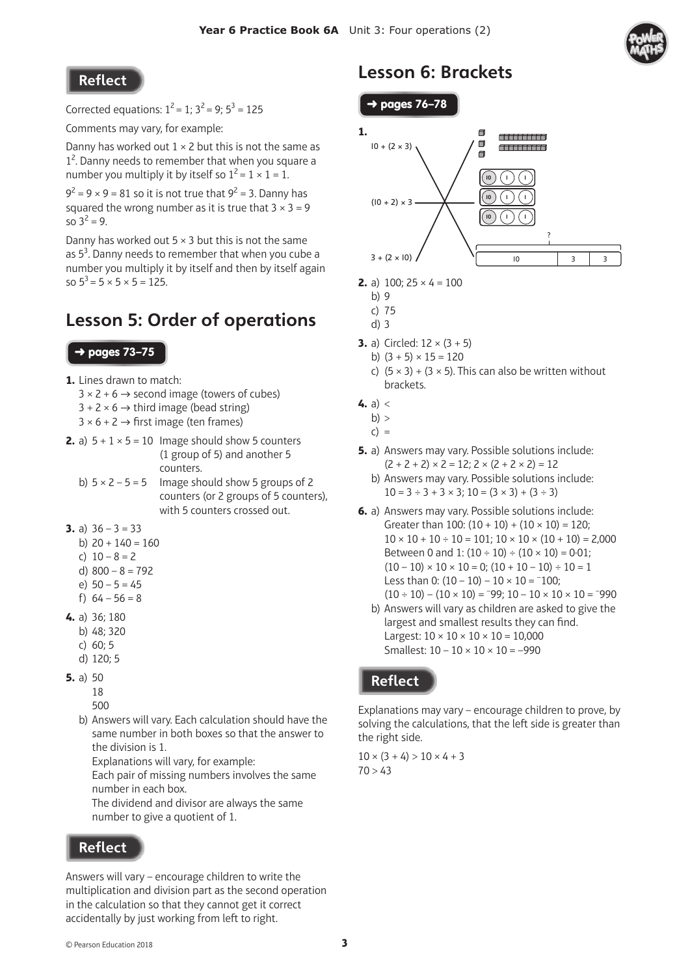Reflect

Corrected equations:  $1^2 = 1$ ;  $3^2 = 9$ ;  $5^3 = 125$ 

Comments may vary, for example:

Danny has worked out  $1 \times 2$  but this is not the same as 1<sup>2</sup>. Danny needs to remember that when you square a number you multiply it by itself so  $1^2 = 1 \times 1 = 1$ .

 $9^2 = 9 \times 9 = 81$  so it is not true that  $9^2 = 3$ . Danny has squared the wrong number as it is true that  $3 \times 3 = 9$ so  $3^2 = 9$ .

Danny has worked out  $5 \times 3$  but this is not the same as  $5^3$ . Danny needs to remember that when you cube a number you multiply it by itself and then by itself again so  $5^3$  = 5  $\times$  5  $\times$  5 = 125.

## Lesson 5: Order of operations

#### ➜ pages **73–75**

- **1.** Lines drawn to match:
	- $3 \times 2 + 6 \rightarrow$  second image (towers of cubes)
	- $3 + 2 \times 6 \rightarrow$  third image (bead string)
	- $3 \times 6 + 2 \rightarrow$  first image (ten frames)
- **2.** a)  $5 + 1 \times 5 = 10$  Image should show 5 counters (1 group of 5) and another 5 counters.
	- b)  $5 \times 2 5 = 5$  Image should show 5 groups of 2 counters (or 2 groups of 5 counters), with 5 counters crossed out.
- **3.** a)  $36 3 = 33$ 
	- b)  $20 + 140 = 160$
	- c)  $10 8 = 2$
	- d)  $800 8 = 792$
	- e) 50 5 = 45
	- f)  $64 56 = 8$
- **4.** a) 36; 180
	- b) 48; 320
	- c) 60; 5
	- d) 120; 5
- **5.** a) 50
	- 18
	- 500
	- b) Answers will vary. Each calculation should have the same number in both boxes so that the answer to the division is 1.

Explanations will vary, for example:

Each pair of missing numbers involves the same number in each box.

The dividend and divisor are always the same number to give a quotient of 1.

### **Reflect**

Answers will vary – encourage children to write the multiplication and division part as the second operation in the calculation so that they cannot get it correct accidentally by just working from left to right.

## Lesson 6: Brackets





- **2.** a)  $100; 25 \times 4 = 100$ 
	- b) 9
	- c) 75
	- d) 3
- **3.** a) Circled:  $12 \times (3 + 5)$ 
	- b)  $(3 + 5) \times 15 = 120$
	- c)  $(5 \times 3) + (3 \times 5)$ . This can also be written without brackets.
- **4.**  $a) <$
- $b$ ) >
- $c) =$
- **5.** a) Answers may vary. Possible solutions include:  $(2 + 2 + 2) \times 2 = 12$ ;  $2 \times (2 + 2 \times 2) = 12$ 
	- b) Answers may vary. Possible solutions include:  $10 = 3 \div 3 + 3 \times 3$ ;  $10 = (3 \times 3) + (3 \div 3)$
- **6.** a) Answers may vary. Possible solutions include: Greater than 100:  $(10 + 10) + (10 \times 10) = 120$ ;  $10 \times 10 + 10 \div 10 = 101$ ;  $10 \times 10 \times (10 + 10) = 2,000$ Between 0 and 1:  $(10 \div 10) \div (10 \times 10) = 0.01$ ;  $(10 - 10) \times 10 \times 10 = 0$ ;  $(10 + 10 - 10) \div 10 = 1$ Less than 0:  $(10 - 10) - 10 \times 10 = -100$ ;  $(10 \div 10) - (10 \times 10) = -99$ ;  $10 - 10 \times 10 \times 10 = -990$ 
	- b) Answers will vary as children are asked to give the largest and smallest results they can find. Largest:  $10 \times 10 \times 10 \times 10 = 10,000$ Smallest:  $10 - 10 \times 10 \times 10 = -990$

### **Reflect**

Explanations may vary – encourage children to prove, by solving the calculations, that the left side is greater than the right side.

 $10 \times (3 + 4) > 10 \times 4 + 3$  $70 > 43$ 

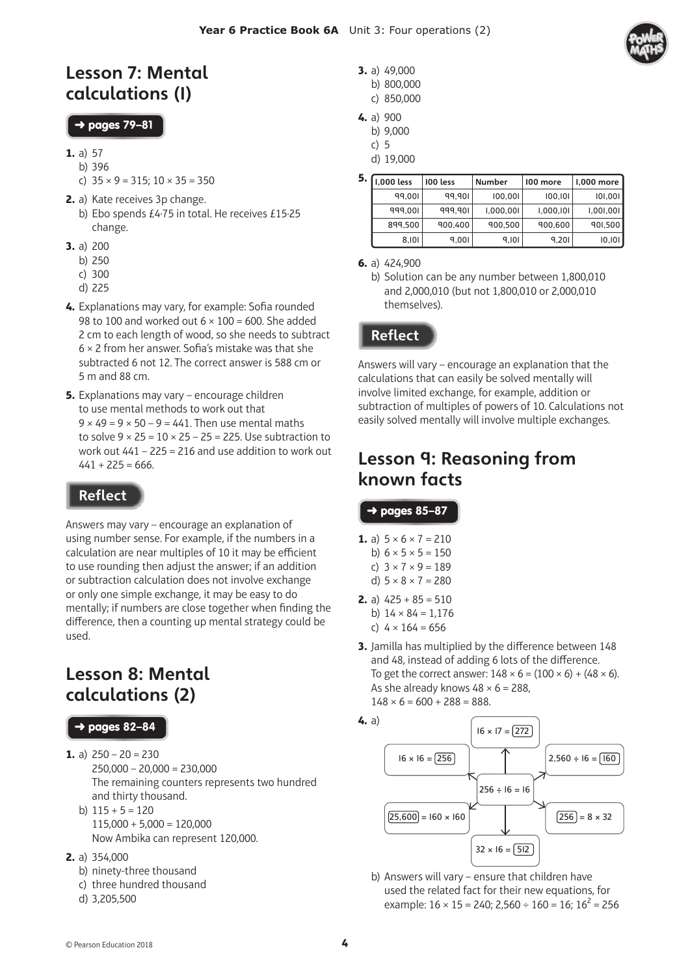### Lesson 7: Mental calculations (1)

#### ➜ pages **79–81**

- **1.** a) 57
	- b) 396
	- c)  $35 \times 9 = 315$ ;  $10 \times 35 = 350$
- **2.** a) Kate receives 3p change. b) Ebo spends £4·75 in total. He receives £15·25 change.
- **3.** a) 200
	- b) 250
	- c) 300
	- d) 225
- 4. Explanations may vary, for example: Sofia rounded 98 to 100 and worked out  $6 \times 100 = 600$ . She added 2 cm to each length of wood, so she needs to subtract  $6 \times 2$  from her answer. Sofia's mistake was that she subtracted 6 not 12. The correct answer is 588 cm or 5 m and 88 cm.
- **5.** Explanations may vary encourage children to use mental methods to work out that  $9 \times 49 = 9 \times 50 - 9 = 441$ . Then use mental maths to solve  $9 \times 25 = 10 \times 25 - 25 = 225$ . Use subtraction to work out  $441 - 225 = 216$  and use addition to work out  $441 + 225 = 666$ .

### Reflect

Answers may vary – encourage an explanation of using number sense. For example, if the numbers in a calculation are near multiples of 10 it may be efficient to use rounding then adjust the answer; if an addition or subtraction calculation does not involve exchange or only one simple exchange, it may be easy to do mentally; if numbers are close together when finding the difference, then a counting up mental strategy could be used.

## Lesson 8: Mental calculations (2)

#### ➜ pages **82–84**

- **1.** a)  $250 20 = 230$  $250,000 - 20,000 = 230,000$ The remaining counters represents two hundred and thirty thousand. b)  $115 + 5 = 120$ 
	- $115,000 + 5,000 = 120,000$ Now Ambika can represent 120,000.
- **2.** a) 354,000
	- b) ninety-three thousand
	- c) three hundred thousand
	- d) 3,205,500
- **3.** a) 49,000
	- b) 800,000 c) 850,000
	-
- **4.** a) 900 b) 9,000
	- c) 5
	- d) 19,000

| 5. | 1.000 less | 100 less | <b>Number</b> | 100 more  | 1,000 more |  |
|----|------------|----------|---------------|-----------|------------|--|
|    | 99.001     | 99.901   | 100,001       | 100,101   | 101,001    |  |
|    | 999.001    | 999.901  | 1,000,001     | 1,000,101 | 1,001,001  |  |
|    | 899.500    | 900,400  | 900,500       | 900,600   | 901,500    |  |
|    | 8,101      | 9.001    | 9,101         | 9,201     | 10, 101    |  |

**<sup>6.</sup>** a) 424,900

### **Reflect**

Answers will vary – encourage an explanation that the calculations that can easily be solved mentally will involve limited exchange, for example, addition or subtraction of multiples of powers of 10. Calculations not easily solved mentally will involve multiple exchanges.

### Lesson 9: Reasoning from known facts

#### ➜ pages **85–87**

- **1.** a)  $5 \times 6 \times 7 = 210$ b)  $6 \times 5 \times 5 = 150$
- c)  $3 \times 7 \times 9 = 189$ d)  $5 \times 8 \times 7 = 280$
- **2.** a)  $425 + 85 = 510$ b)  $14 \times 84 = 1.176$ c)  $4 \times 164 = 656$
- **3.** Jamilla has multiplied by the difference between 148 and 48, instead of adding 6 lots of the difference. To get the correct answer:  $148 \times 6 = (100 \times 6) + (48 \times 6)$ . As she already knows  $48 \times 6 = 288$ ,  $148 \times 6 = 600 + 288 = 888.$
- **4.** a)  $16 \times 16 = 256$  $\boxed{256} = 8 \times 32$  $32 \times 16 = 512$  $[25,600] = 160 \times 160$  $2,560 \div 16 = \boxed{160}$  $16 \times 17 = 272$  $256 \div 16 = 16$ 
	- b) Answers will vary ensure that children have used the related fact for their new equations, for example:  $16 \times 15 = 240$ ;  $2,560 \div 160 = 16$ ;  $16^2 = 256$

b) Solution can be any number between 1,800,010 and 2,000,010 (but not 1,800,010 or 2,000,010 themselves).